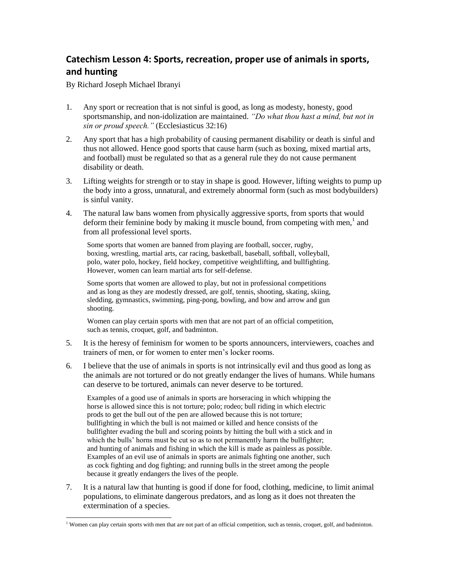## **Catechism Lesson 4: Sports, recreation, proper use of animals in sports, and hunting**

By Richard Joseph Michael Ibranyi

 $\overline{\phantom{a}}$ 

- 1. Any sport or recreation that is not sinful is good, as long as modesty, honesty, good sportsmanship, and non-idolization are maintained. *"Do what thou hast a mind, but not in sin or proud speech."* (Ecclesiasticus 32:16)
- 2. Any sport that has a high probability of causing permanent disability or death is sinful and thus not allowed. Hence good sports that cause harm (such as boxing, mixed martial arts, and football) must be regulated so that as a general rule they do not cause permanent disability or death.
- 3. Lifting weights for strength or to stay in shape is good. However, lifting weights to pump up the body into a gross, unnatural, and extremely abnormal form (such as most bodybuilders) is sinful vanity.
- 4. The natural law bans women from physically aggressive sports, from sports that would deform their feminine body by making it muscle bound, from competing with men, $<sup>1</sup>$  and</sup> from all professional level sports.

Some sports that women are banned from playing are football, soccer, rugby, boxing, wrestling, martial arts, car racing, basketball, baseball, softball, volleyball, polo, water polo, hockey, field hockey, competitive weightlifting, and bullfighting. However, women can learn martial arts for self-defense.

Some sports that women are allowed to play, but not in professional competitions and as long as they are modestly dressed, are golf, tennis, shooting, skating, skiing, sledding, gymnastics, swimming, ping-pong, bowling, and bow and arrow and gun shooting.

Women can play certain sports with men that are not part of an official competition, such as tennis, croquet, golf, and badminton.

- 5. It is the heresy of feminism for women to be sports announcers, interviewers, coaches and trainers of men, or for women to enter men's locker rooms.
- 6. I believe that the use of animals in sports is not intrinsically evil and thus good as long as the animals are not tortured or do not greatly endanger the lives of humans. While humans can deserve to be tortured, animals can never deserve to be tortured.

Examples of a good use of animals in sports are horseracing in which whipping the horse is allowed since this is not torture; polo; rodeo; bull riding in which electric prods to get the bull out of the pen are allowed because this is not torture; bullfighting in which the bull is not maimed or killed and hence consists of the bullfighter evading the bull and scoring points by hitting the bull with a stick and in which the bulls' horns must be cut so as to not permanently harm the bullfighter; and hunting of animals and fishing in which the kill is made as painless as possible. Examples of an evil use of animals in sports are animals fighting one another, such as cock fighting and dog fighting; and running bulls in the street among the people because it greatly endangers the lives of the people.

7. It is a natural law that hunting is good if done for food, clothing, medicine, to limit animal populations, to eliminate dangerous predators, and as long as it does not threaten the extermination of a species.

 $<sup>1</sup>$  Women can play certain sports with men that are not part of an official competition, such as tennis, croquet, golf, and badminton.</sup>